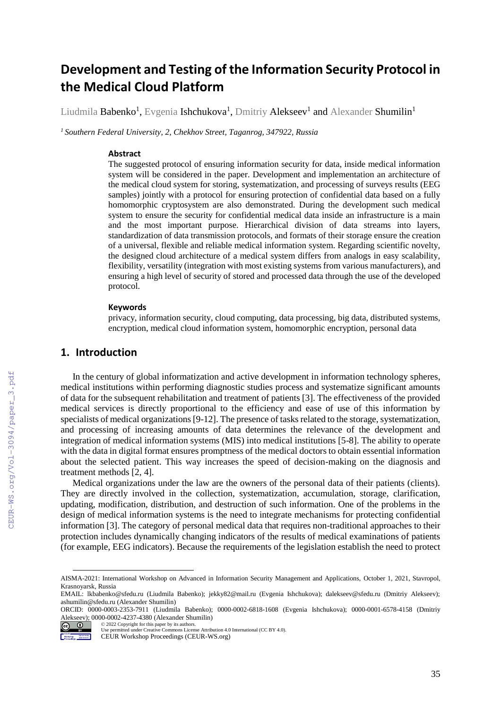# **Development and Testing of the Information Security Protocol in the Medical Cloud Platform**

Liudmila  ${\sf Babenko}^1$ , Evgenia  ${\sf Ishchukova}^1$ , Dmitriy  ${\sf Alekseev}^1$  and  ${\sf Alexander Shumilin}^1$ 

*<sup>1</sup>Southern Federal University, 2, Chekhov Street, Taganrog, 347922, Russia*

### **Abstract**

The suggested protocol of ensuring information security for data, inside medical information system will be considered in the paper. Development and implementation an architecture of the medical cloud system for storing, systematization, and processing of surveys results (EEG samples) jointly with a protocol for ensuring protection of confidential data based on a fully homomorphic cryptosystem are also demonstrated. During the development such medical system to ensure the security for confidential medical data inside an infrastructure is a main and the most important purpose. Hierarchical division of data streams into layers, standardization of data transmission protocols, and formats of their storage ensure the creation of a universal, flexible and reliable medical information system. Regarding scientific novelty, the designed cloud architecture of a medical system differs from analogs in easy scalability, flexibility, versatility (integration with most existing systems from various manufacturers), and ensuring a high level of security of stored and processed data through the use of the developed protocol.

#### **Keywords**

privacy, information security, cloud computing, data processing, big data, distributed systems, encryption, medical cloud information system, homomorphic encryption, personal data

# **1. Introduction**

In the century of global informatization and active development in information technology spheres, medical institutions within performing diagnostic studies process and systematize significant amounts of data for the subsequent rehabilitation and treatment of patients [3]. The effectiveness of the provided medical services is directly proportional to the efficiency and ease of use of this information by specialists of medical organizations [9-12]. The presence of tasks related to the storage, systematization, and processing of increasing amounts of data determines the relevance of the development and integration of medical information systems (MIS) into medical institutions [5-8]. The ability to operate with the data in digital format ensures promptness of the medical doctors to obtain essential information about the selected patient. This way increases the speed of decision-making on the diagnosis and treatment methods [2, 4].

Medical organizations under the law are the owners of the personal data of their patients (clients). They are directly involved in the collection, systematization, accumulation, storage, clarification, updating, modification, distribution, and destruction of such information. One of the problems in the design of medical information systems is the need to integrate mechanisms for protecting confidential information [3]. The category of personal medical data that requires non-traditional approaches to their protection includes dynamically changing indicators of the results of medical examinations of patients (for example, EEG indicators). Because the requirements of the legislation establish the need to protect

ORCID: 0000-0003-2353-7911 (Liudmila Babenko); 0000-0002-6818-1608 (Evgenia Ishchukova); 0000-0001-6578-4158 (Dmitriy Alekseev); 0000-0002-4237-4380 (Alexander Shumilin) © 2022 Copyright for this paper by its authors.



 $\overline{a}$ 

AISMA-2021: International Workshop on Advanced in Information Security Management and Applications, October 1, 2021, Stavropol, Krasnoyarsk, Russia

EMAIL: lkbabenko@sfedu.ru (Liudmila Babenko); jekky82@mail.ru (Evgenia Ishchukova); dalekseev@sfedu.ru (Dmitriy Alekseev); ashumilin@sfedu.ru (Alexander Shumilin)

Use permitted under Creative Commons License Attribution 4.0 International (CC BY 4.0).

CEUR Workshop Proceedings (CEUR-WS.org)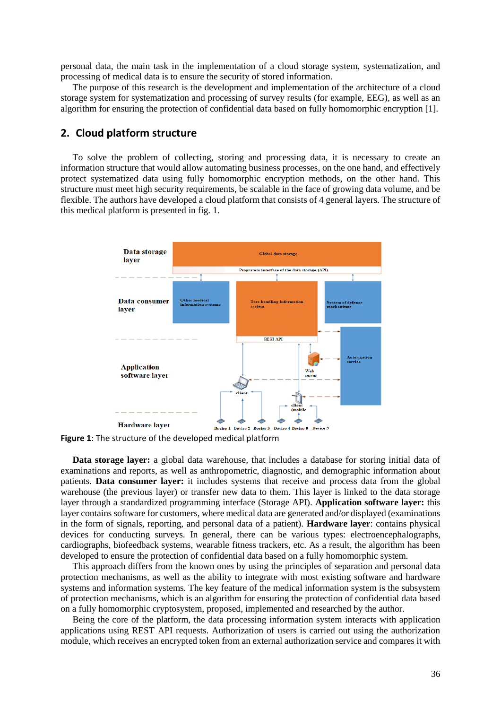personal data, the main task in the implementation of a cloud storage system, systematization, and processing of medical data is to ensure the security of stored information.

The purpose of this research is the development and implementation of the architecture of a cloud storage system for systematization and processing of survey results (for example, EEG), as well as an algorithm for ensuring the protection of confidential data based on fully homomorphic encryption [1].

# **2. Cloud platform structure**

To solve the problem of collecting, storing and processing data, it is necessary to create an information structure that would allow automating business processes, on the one hand, and effectively protect systematized data using fully homomorphic encryption methods, on the other hand. This structure must meet high security requirements, be scalable in the face of growing data volume, and be flexible. The authors have developed a cloud platform that consists of 4 general layers. The structure of this medical platform is presented in fig. 1.



**Figure 1**: The structure of the developed medical platform

**Data storage layer:** a global data warehouse, that includes a database for storing initial data of examinations and reports, as well as anthropometric, diagnostic, and demographic information about patients. **Data consumer layer:** it includes systems that receive and process data from the global warehouse (the previous layer) or transfer new data to them. This layer is linked to the data storage layer through a standardized programming interface (Storage API). **Application software layer:** this layer contains software for customers, where medical data are generated and/or displayed (examinations in the form of signals, reporting, and personal data of a patient). **Hardware layer**: contains physical devices for conducting surveys. In general, there can be various types: electroencephalographs, cardiographs, biofeedback systems, wearable fitness trackers, etc. As a result, the algorithm has been developed to ensure the protection of confidential data based on a fully homomorphic system.

This approach differs from the known ones by using the principles of separation and personal data protection mechanisms, as well as the ability to integrate with most existing software and hardware systems and information systems. The key feature of the medical information system is the subsystem of protection mechanisms, which is an algorithm for ensuring the protection of confidential data based on a fully homomorphic cryptosystem, proposed, implemented and researched by the author.

Being the core of the platform, the data processing information system interacts with application applications using REST API requests. Authorization of users is carried out using the authorization module, which receives an encrypted token from an external authorization service and compares it with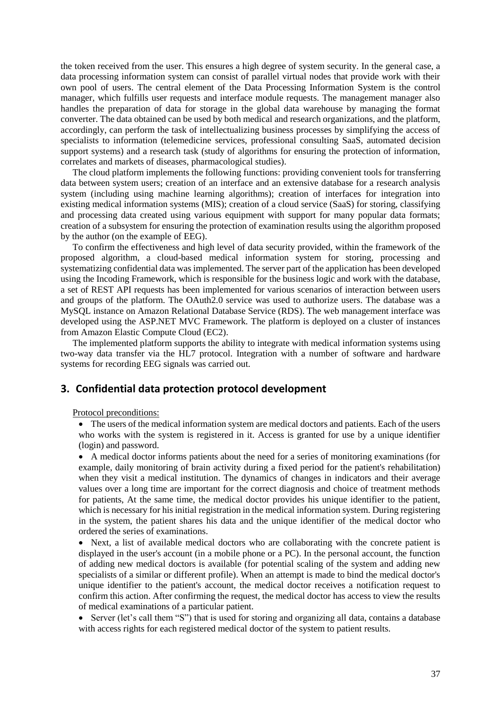the token received from the user. This ensures a high degree of system security. In the general case, a data processing information system can consist of parallel virtual nodes that provide work with their own pool of users. The central element of the Data Processing Information System is the control manager, which fulfills user requests and interface module requests. The management manager also handles the preparation of data for storage in the global data warehouse by managing the format converter. The data obtained can be used by both medical and research organizations, and the platform, accordingly, can perform the task of intellectualizing business processes by simplifying the access of specialists to information (telemedicine services, professional consulting SaaS, automated decision support systems) and a research task (study of algorithms for ensuring the protection of information, correlates and markets of diseases, pharmacological studies).

The cloud platform implements the following functions: providing convenient tools for transferring data between system users; creation of an interface and an extensive database for a research analysis system (including using machine learning algorithms); creation of interfaces for integration into existing medical information systems (MIS); creation of a cloud service (SaaS) for storing, classifying and processing data created using various equipment with support for many popular data formats; creation of a subsystem for ensuring the protection of examination results using the algorithm proposed by the author (on the example of EEG).

To confirm the effectiveness and high level of data security provided, within the framework of the proposed algorithm, a cloud-based medical information system for storing, processing and systematizing confidential data was implemented. The server part of the application has been developed using the Incoding Framework, which is responsible for the business logic and work with the database, a set of REST API requests has been implemented for various scenarios of interaction between users and groups of the platform. The OAuth2.0 service was used to authorize users. The database was a MySQL instance on Amazon Relational Database Service (RDS). The web management interface was developed using the ASP.NET MVC Framework. The platform is deployed on a cluster of instances from Amazon Elastic Compute Cloud (EC2).

The implemented platform supports the ability to integrate with medical information systems using two-way data transfer via the HL7 protocol. Integration with a number of software and hardware systems for recording EEG signals was carried out.

# **3. Confidential data protection protocol development**

Protocol preconditions:

 The users of the medical information system are medical doctors and patients. Each of the users who works with the system is registered in it. Access is granted for use by a unique identifier (login) and password.

 A medical doctor informs patients about the need for a series of monitoring examinations (for example, daily monitoring of brain activity during a fixed period for the patient's rehabilitation) when they visit a medical institution. The dynamics of changes in indicators and their average values over a long time are important for the correct diagnosis and choice of treatment methods for patients, At the same time, the medical doctor provides his unique identifier to the patient, which is necessary for his initial registration in the medical information system. During registering in the system, the patient shares his data and the unique identifier of the medical doctor who ordered the series of examinations.

 Next, a list of available medical doctors who are collaborating with the concrete patient is displayed in the user's account (in a mobile phone or a PC). In the personal account, the function of adding new medical doctors is available (for potential scaling of the system and adding new specialists of a similar or different profile). When an attempt is made to bind the medical doctor's unique identifier to the patient's account, the medical doctor receives a notification request to confirm this action. After confirming the request, the medical doctor has access to view the results of medical examinations of a particular patient.

• Server (let's call them "S") that is used for storing and organizing all data, contains a database with access rights for each registered medical doctor of the system to patient results.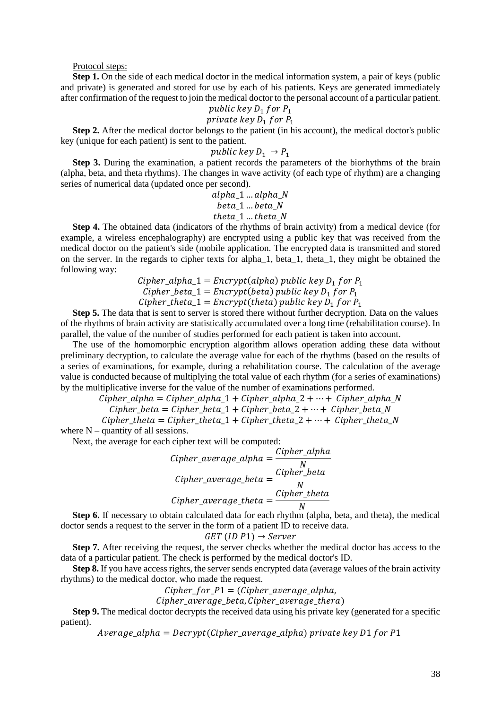#### Protocol steps:

**Step 1.** On the side of each medical doctor in the medical information system, a pair of keys (public and private) is generated and stored for use by each of his patients. Keys are generated immediately after confirmation of the request to join the medical doctor to the personal account of a particular patient.

# public key  $D_1$  for  $P_1$

# private key  $D_1$  for  $P_1$

**Step 2.** After the medical doctor belongs to the patient (in his account), the medical doctor's public key (unique for each patient) is sent to the patient.

### public key  $D_1 \rightarrow P_1$

**Step 3.** During the examination, a patient records the parameters of the biorhythms of the brain (alpha, beta, and theta rhythms). The changes in wave activity (of each type of rhythm) are a changing series of numerical data (updated once per second).

> $alpha_1$  ...  $alpha_N$  $beta_1$  ...  $beta_N$ theta  $1...$  theta  $N$

**Step 4.** The obtained data (indicators of the rhythms of brain activity) from a medical device (for example, a wireless encephalography) are encrypted using a public key that was received from the medical doctor on the patient's side (mobile application. The encrypted data is transmitted and stored on the server. In the regards to cipher texts for alpha\_1, beta\_1, theta\_1, they might be obtained the following way:

Cipher\_alpha\_1 = Encryption(alpha) public key 
$$
D_1
$$
 for  $P_1$   
Cipher\_beta\_1 = Encryption(beta) public key  $D_1$  for  $P_1$   
Cipher\_theta\_1 = Encryption(theta) public key  $D_1$  for  $P_1$ 

**Step 5.** The data that is sent to server is stored there without further decryption. Data on the values of the rhythms of brain activity are statistically accumulated over a long time (rehabilitation course). In parallel, the value of the number of studies performed for each patient is taken into account.

The use of the homomorphic encryption algorithm allows operation adding these data without preliminary decryption, to calculate the average value for each of the rhythms (based on the results of a series of examinations, for example, during a rehabilitation course. The calculation of the average value is conducted because of multiplying the total value of each rhythm (for a series of examinations) by the multiplicative inverse for the value of the number of examinations performed.

> $Cipher_alpha = Cipher_alpha_1 + Cipher_alpha_2 + ... + Cipher_alpha_N$  $Cipher\_beta = Cipher\_beta_1 + Cipher\_beta_2 + \cdots + Cipher\_beta_N$

> Cipher theta = Cipher theta  $1 +$  Cipher theta  $2 + \cdots +$  Cipher theta N

where  $N -$  quantity of all sessions.

Next, the average for each cipher text will be computed:

Cipher\_average\_alpha = 
$$
\frac{Cipher_alpha}{N}
$$
  
Cipher\_average\_beta = 
$$
\frac{Cipher_beta}{N}
$$
  
Cipher\_average\_theta = 
$$
\frac{Cipher_theta}{N}
$$

**Step 6.** If necessary to obtain calculated data for each rhythm (alpha, beta, and theta), the medical doctor sends a request to the server in the form of a patient ID to receive data.

$$
GET
$$
  $(ID P1) \rightarrow Server$ 

**Step 7.** After receiving the request, the server checks whether the medical doctor has access to the data of a particular patient. The check is performed by the medical doctor's ID.

**Step 8.** If you have access rights, the server sends encrypted data (average values of the brain activity rhythms) to the medical doctor, who made the request.

 $Cipher\_for\_P1 = (Cipher\_average\_alpha,$ 

Cipher\_average\_beta, Cipher\_average\_thera)

**Step 9.** The medical doctor decrypts the received data using his private key (generated for a specific patient).

 $Average_alpha = Decrypt(Cipher_average_alpha) private key D1 for P1$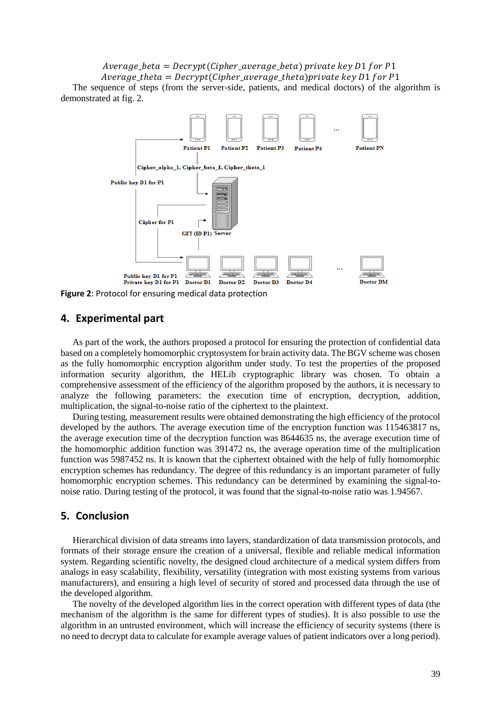$Average_{\phi}$  = Decrypt(Cipher\_average\_beta) private key D1 for P1  $Average_{theta} = Decrypt(Cipher_{average_{theta}) private key D1 for P1$ 

The sequence of steps (from the server-side, patients, and medical doctors) of the algorithm is demonstrated at fig. 2.



**Figure 2**: Protocol for ensuring medical data protection

# **4. Experimental part**

As part of the work, the authors proposed a protocol for ensuring the protection of confidential data based on a completely homomorphic cryptosystem for brain activity data. The BGV scheme was chosen as the fully homomorphic encryption algorithm under study. To test the properties of the proposed information security algorithm, the HELib cryptographic library was chosen. To obtain a comprehensive assessment of the efficiency of the algorithm proposed by the authors, it is necessary to analyze the following parameters: the execution time of encryption, decryption, addition, multiplication, the signal-to-noise ratio of the ciphertext to the plaintext.

During testing, measurement results were obtained demonstrating the high efficiency of the protocol developed by the authors. The average execution time of the encryption function was 115463817 ns, the average execution time of the decryption function was 8644635 ns, the average execution time of the homomorphic addition function was 391472 ns, the average operation time of the multiplication function was 5987452 ns. It is known that the ciphertext obtained with the help of fully homomorphic encryption schemes has redundancy. The degree of this redundancy is an important parameter of fully homomorphic encryption schemes. This redundancy can be determined by examining the signal-tonoise ratio. During testing of the protocol, it was found that the signal-to-noise ratio was 1.94567.

### **5. Conclusion**

Hierarchical division of data streams into layers, standardization of data transmission protocols, and formats of their storage ensure the creation of a universal, flexible and reliable medical information system. Regarding scientific novelty, the designed cloud architecture of a medical system differs from analogs in easy scalability, flexibility, versatility (integration with most existing systems from various manufacturers), and ensuring a high level of security of stored and processed data through the use of the developed algorithm.

The novelty of the developed algorithm lies in the correct operation with different types of data (the mechanism of the algorithm is the same for different types of studies). It is also possible to use the algorithm in an untrusted environment, which will increase the efficiency of security systems (there is no need to decrypt data to calculate for example average values of patient indicators over a long period).